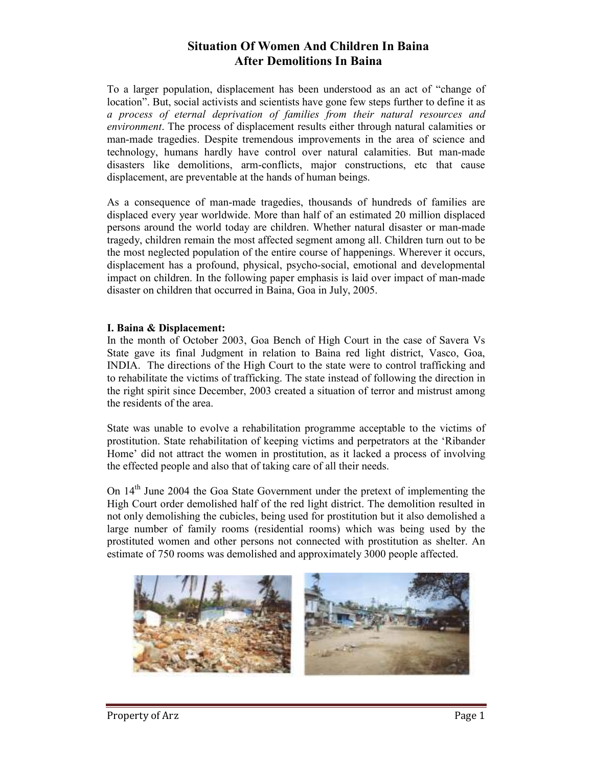# **Situation Of Women And Children In Baina After Demolitions In Baina**

To a larger population, displacement has been understood as an act of "change of location". But, social activists and scientists have gone few steps further to define it as *a process of eternal deprivation of families from their natural resources and environment*. The process of displacement results either through natural calamities or man-made tragedies. Despite tremendous improvements in the area of science and technology, humans hardly have control over natural calamities. But man-made disasters like demolitions, arm-conflicts, major constructions, etc that cause displacement, are preventable at the hands of human beings.

As a consequence of man-made tragedies, thousands of hundreds of families are displaced every year worldwide. More than half of an estimated 20 million displaced persons around the world today are children. Whether natural disaster or man-made tragedy, children remain the most affected segment among all. Children turn out to be the most neglected population of the entire course of happenings. Wherever it occurs, displacement has a profound, physical, psycho-social, emotional and developmental impact on children. In the following paper emphasis is laid over impact of man-made disaster on children that occurred in Baina, Goa in July, 2005.

#### **I. Baina & Displacement:**

In the month of October 2003, Goa Bench of High Court in the case of Savera Vs State gave its final Judgment in relation to Baina red light district, Vasco, Goa, INDIA. The directions of the High Court to the state were to control trafficking and to rehabilitate the victims of trafficking. The state instead of following the direction in the right spirit since December, 2003 created a situation of terror and mistrust among the residents of the area.

State was unable to evolve a rehabilitation programme acceptable to the victims of prostitution. State rehabilitation of keeping victims and perpetrators at the 'Ribander Home' did not attract the women in prostitution, as it lacked a process of involving the effected people and also that of taking care of all their needs.

On 14th June 2004 the Goa State Government under the pretext of implementing the High Court order demolished half of the red light district. The demolition resulted in not only demolishing the cubicles, being used for prostitution but it also demolished a large number of family rooms (residential rooms) which was being used by the prostituted women and other persons not connected with prostitution as shelter. An estimate of 750 rooms was demolished and approximately 3000 people affected.

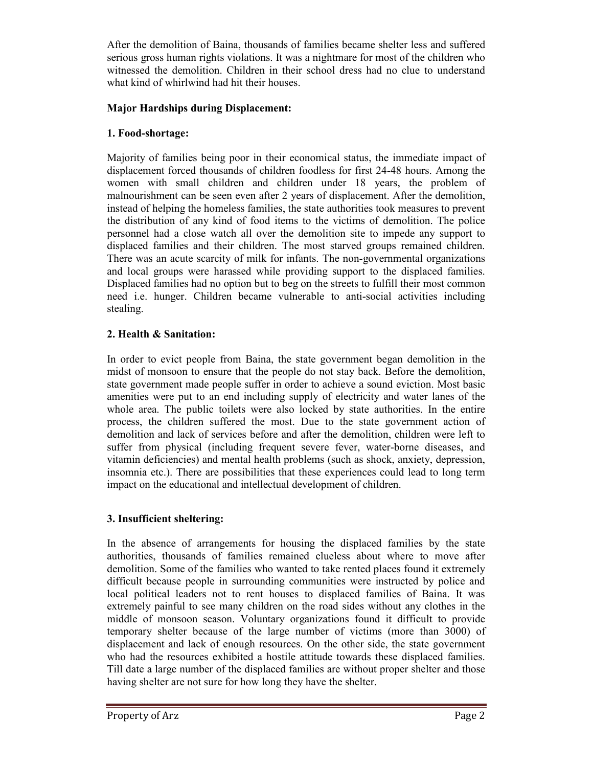After the demolition of Baina, thousands of families became shelter less and suffered serious gross human rights violations. It was a nightmare for most of the children who witnessed the demolition. Children in their school dress had no clue to understand what kind of whirlwind had hit their houses.

### **Major Hardships during Displacement:**

### **1. Food-shortage:**

Majority of families being poor in their economical status, the immediate impact of displacement forced thousands of children foodless for first 24-48 hours. Among the women with small children and children under 18 years, the problem of malnourishment can be seen even after 2 years of displacement. After the demolition, instead of helping the homeless families, the state authorities took measures to prevent the distribution of any kind of food items to the victims of demolition. The police personnel had a close watch all over the demolition site to impede any support to displaced families and their children. The most starved groups remained children. There was an acute scarcity of milk for infants. The non-governmental organizations and local groups were harassed while providing support to the displaced families. Displaced families had no option but to beg on the streets to fulfill their most common need i.e. hunger. Children became vulnerable to anti-social activities including stealing.

#### **2. Health & Sanitation:**

In order to evict people from Baina, the state government began demolition in the midst of monsoon to ensure that the people do not stay back. Before the demolition, state government made people suffer in order to achieve a sound eviction. Most basic amenities were put to an end including supply of electricity and water lanes of the whole area. The public toilets were also locked by state authorities. In the entire process, the children suffered the most. Due to the state government action of demolition and lack of services before and after the demolition, children were left to suffer from physical (including frequent severe fever, water-borne diseases, and vitamin deficiencies) and mental health problems (such as shock, anxiety, depression, insomnia etc.). There are possibilities that these experiences could lead to long term impact on the educational and intellectual development of children.

# **3. Insufficient sheltering:**

In the absence of arrangements for housing the displaced families by the state authorities, thousands of families remained clueless about where to move after demolition. Some of the families who wanted to take rented places found it extremely difficult because people in surrounding communities were instructed by police and local political leaders not to rent houses to displaced families of Baina. It was extremely painful to see many children on the road sides without any clothes in the middle of monsoon season. Voluntary organizations found it difficult to provide temporary shelter because of the large number of victims (more than 3000) of displacement and lack of enough resources. On the other side, the state government who had the resources exhibited a hostile attitude towards these displaced families. Till date a large number of the displaced families are without proper shelter and those having shelter are not sure for how long they have the shelter.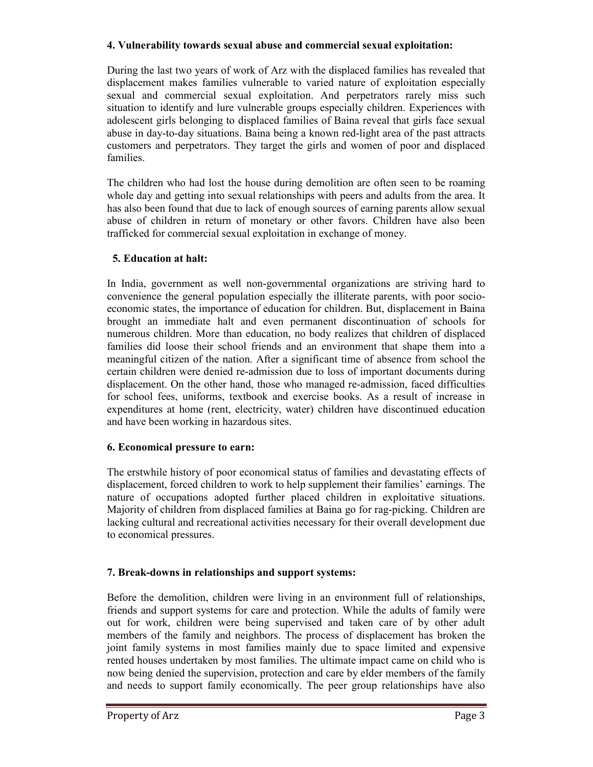#### **4. Vulnerability towards sexual abuse and commercial sexual exploitation:**

During the last two years of work of Arz with the displaced families has revealed that displacement makes families vulnerable to varied nature of exploitation especially sexual and commercial sexual exploitation. And perpetrators rarely miss such situation to identify and lure vulnerable groups especially children. Experiences with adolescent girls belonging to displaced families of Baina reveal that girls face sexual abuse in day-to-day situations. Baina being a known red-light area of the past attracts customers and perpetrators. They target the girls and women of poor and displaced families.

The children who had lost the house during demolition are often seen to be roaming whole day and getting into sexual relationships with peers and adults from the area. It has also been found that due to lack of enough sources of earning parents allow sexual abuse of children in return of monetary or other favors. Children have also been trafficked for commercial sexual exploitation in exchange of money.

# **5. Education at halt:**

In India, government as well non-governmental organizations are striving hard to convenience the general population especially the illiterate parents, with poor socioeconomic states, the importance of education for children. But, displacement in Baina brought an immediate halt and even permanent discontinuation of schools for numerous children. More than education, no body realizes that children of displaced families did loose their school friends and an environment that shape them into a meaningful citizen of the nation. After a significant time of absence from school the certain children were denied re-admission due to loss of important documents during displacement. On the other hand, those who managed re-admission, faced difficulties for school fees, uniforms, textbook and exercise books. As a result of increase in expenditures at home (rent, electricity, water) children have discontinued education and have been working in hazardous sites.

# **6. Economical pressure to earn:**

The erstwhile history of poor economical status of families and devastating effects of displacement, forced children to work to help supplement their families' earnings. The nature of occupations adopted further placed children in exploitative situations. Majority of children from displaced families at Baina go for rag-picking. Children are lacking cultural and recreational activities necessary for their overall development due to economical pressures.

# **7. Break-downs in relationships and support systems:**

Before the demolition, children were living in an environment full of relationships, friends and support systems for care and protection. While the adults of family were out for work, children were being supervised and taken care of by other adult members of the family and neighbors. The process of displacement has broken the joint family systems in most families mainly due to space limited and expensive rented houses undertaken by most families. The ultimate impact came on child who is now being denied the supervision, protection and care by elder members of the family and needs to support family economically. The peer group relationships have also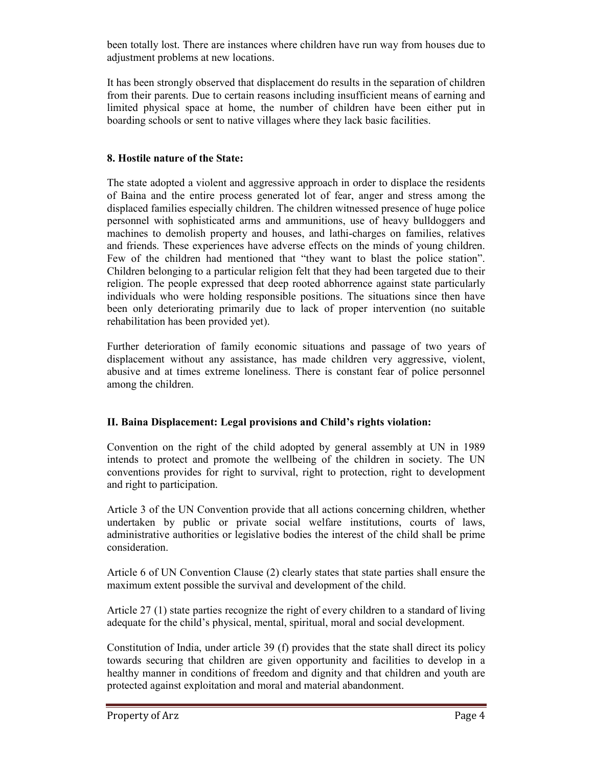been totally lost. There are instances where children have run way from houses due to adjustment problems at new locations.

It has been strongly observed that displacement do results in the separation of children from their parents. Due to certain reasons including insufficient means of earning and limited physical space at home, the number of children have been either put in boarding schools or sent to native villages where they lack basic facilities.

#### **8. Hostile nature of the State:**

The state adopted a violent and aggressive approach in order to displace the residents of Baina and the entire process generated lot of fear, anger and stress among the displaced families especially children. The children witnessed presence of huge police personnel with sophisticated arms and ammunitions, use of heavy bulldoggers and machines to demolish property and houses, and lathi-charges on families, relatives and friends. These experiences have adverse effects on the minds of young children. Few of the children had mentioned that "they want to blast the police station". Children belonging to a particular religion felt that they had been targeted due to their religion. The people expressed that deep rooted abhorrence against state particularly individuals who were holding responsible positions. The situations since then have been only deteriorating primarily due to lack of proper intervention (no suitable rehabilitation has been provided yet).

Further deterioration of family economic situations and passage of two years of displacement without any assistance, has made children very aggressive, violent, abusive and at times extreme loneliness. There is constant fear of police personnel among the children.

# **II. Baina Displacement: Legal provisions and Child's rights violation:**

Convention on the right of the child adopted by general assembly at UN in 1989 intends to protect and promote the wellbeing of the children in society. The UN conventions provides for right to survival, right to protection, right to development and right to participation.

Article 3 of the UN Convention provide that all actions concerning children, whether undertaken by public or private social welfare institutions, courts of laws, administrative authorities or legislative bodies the interest of the child shall be prime consideration.

Article 6 of UN Convention Clause (2) clearly states that state parties shall ensure the maximum extent possible the survival and development of the child.

Article 27 (1) state parties recognize the right of every children to a standard of living adequate for the child's physical, mental, spiritual, moral and social development.

Constitution of India, under article 39 (f) provides that the state shall direct its policy towards securing that children are given opportunity and facilities to develop in a healthy manner in conditions of freedom and dignity and that children and youth are protected against exploitation and moral and material abandonment.